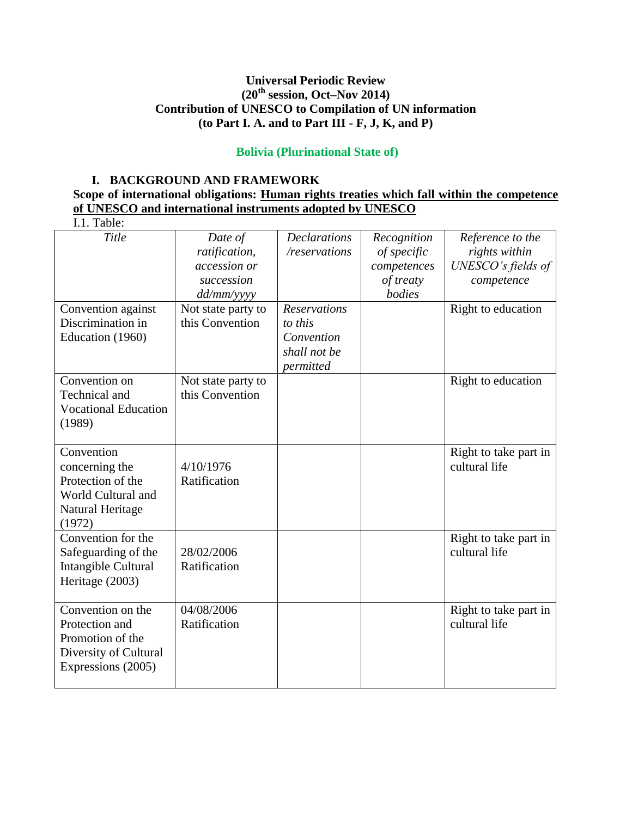## **Universal Periodic Review (20th session, Oct–Nov 2014) Contribution of UNESCO to Compilation of UN information (to Part I. A. and to Part III - F, J, K, and P)**

#### **Bolivia (Plurinational State of)**

#### **I. BACKGROUND AND FRAMEWORK**

## **Scope of international obligations: Human rights treaties which fall within the competence of UNESCO and international instruments adopted by UNESCO**

| I.1. Table:                                                                                            |                                                                                            |                                                             |                                                                  |                                                                                             |
|--------------------------------------------------------------------------------------------------------|--------------------------------------------------------------------------------------------|-------------------------------------------------------------|------------------------------------------------------------------|---------------------------------------------------------------------------------------------|
| Title<br>Convention against                                                                            | Date of<br>ratification,<br>accession or<br>succession<br>dd/mm/yyyy<br>Not state party to | <b>Declarations</b><br>/reservations<br><b>Reservations</b> | Recognition<br>of specific<br>competences<br>of treaty<br>bodies | Reference to the<br>rights within<br>UNESCO's fields of<br>competence<br>Right to education |
| Discrimination in<br>Education (1960)                                                                  | this Convention                                                                            | to this<br>Convention<br>shall not be<br>permitted          |                                                                  |                                                                                             |
| Convention on<br>Technical and<br><b>Vocational Education</b><br>(1989)                                | Not state party to<br>this Convention                                                      |                                                             |                                                                  | Right to education                                                                          |
| Convention<br>concerning the<br>Protection of the<br>World Cultural and<br>Natural Heritage<br>(1972)  | 4/10/1976<br>Ratification                                                                  |                                                             |                                                                  | Right to take part in<br>cultural life                                                      |
| Convention for the<br>Safeguarding of the<br>Intangible Cultural<br>Heritage (2003)                    | 28/02/2006<br>Ratification                                                                 |                                                             |                                                                  | Right to take part in<br>cultural life                                                      |
| Convention on the<br>Protection and<br>Promotion of the<br>Diversity of Cultural<br>Expressions (2005) | 04/08/2006<br>Ratification                                                                 |                                                             |                                                                  | Right to take part in<br>cultural life                                                      |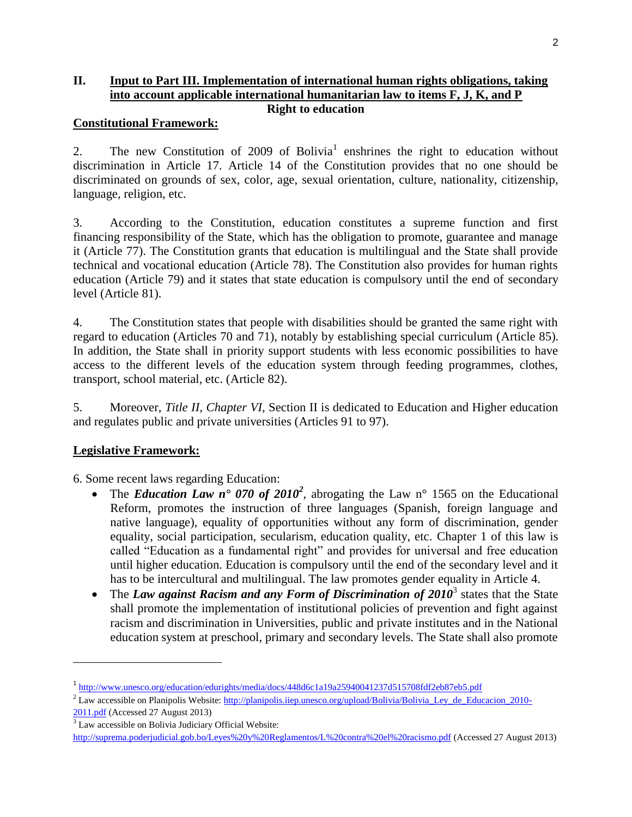#### **II. Input to Part III. Implementation of international human rights obligations, taking into account applicable international humanitarian law to items F, J, K, and P Right to education**

#### **Constitutional Framework:**

2. The new Constitution of  $2009$  of Bolivia<sup>1</sup> enshrines the right to education without discrimination in Article 17. Article 14 of the Constitution provides that no one should be discriminated on grounds of sex, color, age, sexual orientation, culture, nationality, citizenship, language, religion, etc.

3. According to the Constitution, education constitutes a supreme function and first financing responsibility of the State, which has the obligation to promote, guarantee and manage it (Article 77). The Constitution grants that education is multilingual and the State shall provide technical and vocational education (Article 78). The Constitution also provides for human rights education (Article 79) and it states that state education is compulsory until the end of secondary level (Article 81).

4. The Constitution states that people with disabilities should be granted the same right with regard to education (Articles 70 and 71), notably by establishing special curriculum (Article 85). In addition, the State shall in priority support students with less economic possibilities to have access to the different levels of the education system through feeding programmes, clothes, transport, school material, etc. (Article 82).

5. Moreover, *Title II, Chapter VI,* Section II is dedicated to Education and Higher education and regulates public and private universities (Articles 91 to 97).

## **Legislative Framework:**

6. Some recent laws regarding Education:

- The *Education Law n° 070 of 2010<sup>2</sup>*, abrogating the Law n° 1565 on the Educational Reform, promotes the instruction of three languages (Spanish, foreign language and native language), equality of opportunities without any form of discrimination, gender equality, social participation, secularism, education quality, etc. Chapter 1 of this law is called "Education as a fundamental right" and provides for universal and free education until higher education. Education is compulsory until the end of the secondary level and it has to be intercultural and multilingual. The law promotes gender equality in Article 4.
- The *Law against Racism and any Form of Discrimination of 2010<sup>3</sup> states that the State* shall promote the implementation of institutional policies of prevention and fight against racism and discrimination in Universities, public and private institutes and in the National education system at preschool, primary and secondary levels. The State shall also promote

 $\overline{\phantom{a}}$ 

<sup>&</sup>lt;sup>1</sup> <http://www.unesco.org/education/edurights/media/docs/448d6c1a19a25940041237d515708fdf2eb87eb5.pdf>

<sup>&</sup>lt;sup>2</sup> Law accessible on Planipolis Website: [http://planipolis.iiep.unesco.org/upload/Bolivia/Bolivia\\_Ley\\_de\\_Educacion\\_2010-](http://planipolis.iiep.unesco.org/upload/Bolivia/Bolivia_Ley_de_Educacion_2010-2011.pdf)

[<sup>2011.</sup>pdf](http://planipolis.iiep.unesco.org/upload/Bolivia/Bolivia_Ley_de_Educacion_2010-2011.pdf) (Accessed 27 August 2013)

<sup>&</sup>lt;sup>3</sup> Law accessible on Bolivia Judiciary Official Website: <http://suprema.poderjudicial.gob.bo/Leyes%20y%20Reglamentos/L%20contra%20el%20racismo.pdf> (Accessed 27 August 2013)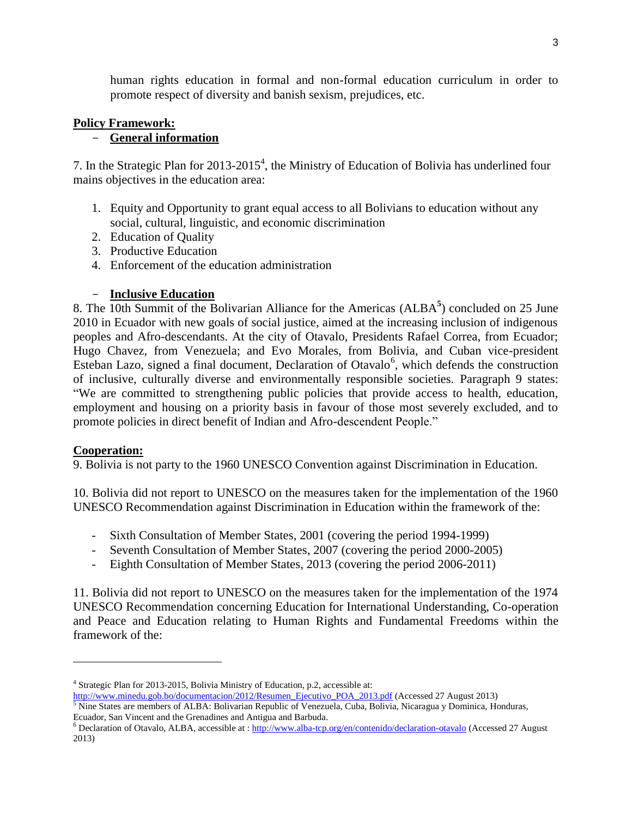human rights education in formal and non-formal education curriculum in order to promote respect of diversity and banish sexism, prejudices, etc.

## **Policy Framework:**

## - **General information**

7. In the Strategic Plan for 2013-2015 4 , the Ministry of Education of Bolivia has underlined four mains objectives in the education area:

- 1. Equity and Opportunity to grant equal access to all Bolivians to education without any social, cultural, linguistic, and economic discrimination
- 2. Education of Quality
- 3. Productive Education
- 4. Enforcement of the education administration

# - **Inclusive Education**

8. The 10th Summit of the Bolivarian Alliance for the Americas (ALBA<sup>5</sup>) concluded on 25 June 2010 in Ecuador with new goals of social justice, aimed at the increasing inclusion of indigenous peoples and Afro-descendants. At the city of Otavalo, Presidents Rafael Correa, from Ecuador; Hugo Chavez, from Venezuela; and Evo Morales, from Bolivia, and Cuban vice-president Esteban Lazo, signed a final document, Declaration of Otavalo<sup>6</sup>, which defends the construction of inclusive, culturally diverse and environmentally responsible societies. Paragraph 9 states: "We are committed to strengthening public policies that provide access to health, education, employment and housing on a priority basis in favour of those most severely excluded, and to promote policies in direct benefit of Indian and Afro-descendent People."

## **Cooperation:**

 $\overline{\phantom{a}}$ 

9. Bolivia is not party to the 1960 UNESCO Convention against Discrimination in Education.

10. Bolivia did not report to UNESCO on the measures taken for the implementation of the 1960 UNESCO Recommendation against Discrimination in Education within the framework of the:

- Sixth Consultation of Member States, 2001 (covering the period 1994-1999)
- Seventh Consultation of Member States, 2007 (covering the period 2000-2005)
- Eighth Consultation of Member States, 2013 (covering the period 2006-2011)

11. Bolivia did not report to UNESCO on the measures taken for the implementation of the 1974 UNESCO Recommendation concerning Education for International Understanding, Co-operation and Peace and Education relating to Human Rights and Fundamental Freedoms within the framework of the:

<sup>4</sup> Strategic Plan for 2013-2015, Bolivia Ministry of Education, p.2, accessible at:

[http://www.minedu.gob.bo/documentacion/2012/Resumen\\_Ejecutivo\\_POA\\_2013.pdf](http://www.minedu.gob.bo/documentacion/2012/Resumen_Ejecutivo_POA_2013.pdf) (Accessed 27 August 2013)

<sup>&</sup>lt;sup>5</sup> Nine States are members of ALBA: Bolivarian Republic of Venezuela, Cuba, Bolivia, Nicaragua y Dominica, Honduras, Ecuador, San Vincent and the Grenadines and Antigua and Barbuda.

<sup>&</sup>lt;sup>6</sup> Declaration of Otavalo, ALBA, accessible at : <http://www.alba-tcp.org/en/contenido/declaration-otavalo> (Accessed 27 August 2013)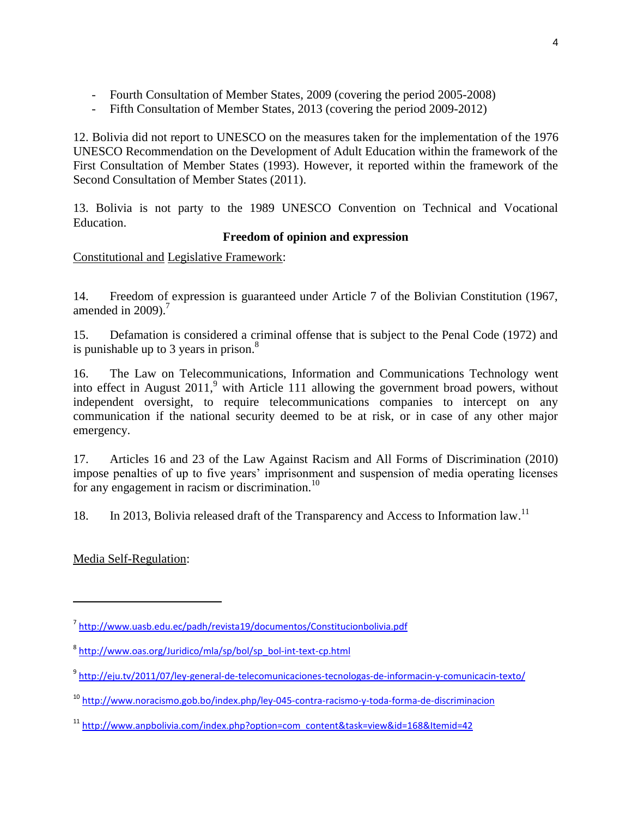- Fourth Consultation of Member States, 2009 (covering the period 2005-2008)
- Fifth Consultation of Member States, 2013 (covering the period 2009-2012)

12. Bolivia did not report to UNESCO on the measures taken for the implementation of the 1976 UNESCO Recommendation on the Development of Adult Education within the framework of the First Consultation of Member States (1993). However, it reported within the framework of the Second Consultation of Member States (2011).

13. Bolivia is not party to the 1989 UNESCO Convention on Technical and Vocational Education.

## **Freedom of opinion and expression**

Constitutional and Legislative Framework:

14. Freedom of expression is guaranteed under Article 7 of the Bolivian Constitution (1967, amended in  $2009$ ).<sup>7</sup>

15. Defamation is considered a criminal offense that is subject to the Penal Code (1972) and is punishable up to 3 years in prison. $^{8}$ 

16. The Law on Telecommunications, Information and Communications Technology went into effect in August  $2011$ , with Article 111 allowing the government broad powers, without independent oversight, to require telecommunications companies to intercept on any communication if the national security deemed to be at risk, or in case of any other major emergency.

17. Articles 16 and 23 of the Law Against Racism and All Forms of Discrimination (2010) impose penalties of up to five years' imprisonment and suspension of media operating licenses for any engagement in racism or discrimination. $^{10}$ 

18. In 2013, Bolivia released draft of the Transparency and Access to Information law.<sup>11</sup>

Media Self-Regulation:

 $\overline{\phantom{a}}$ 

<sup>&</sup>lt;sup>7</sup> <http://www.uasb.edu.ec/padh/revista19/documentos/Constitucionbolivia.pdf>

<sup>&</sup>lt;sup>8</sup> [http://www.oas.org/Juridico/mla/sp/bol/sp\\_bol-int-text-cp.html](http://www.oas.org/Juridico/mla/sp/bol/sp_bol-int-text-cp.html)

<sup>9</sup> <http://eju.tv/2011/07/ley-general-de-telecomunicaciones-tecnologas-de-informacin-y-comunicacin-texto/>

<sup>10</sup> <http://www.noracismo.gob.bo/index.php/ley-045-contra-racismo-y-toda-forma-de-discriminacion>

<sup>&</sup>lt;sup>11</sup> [http://www.anpbolivia.com/index.php?option=com\\_content&task=view&id=168&Itemid=42](http://www.anpbolivia.com/index.php?option=com_content&task=view&id=168&Itemid=42)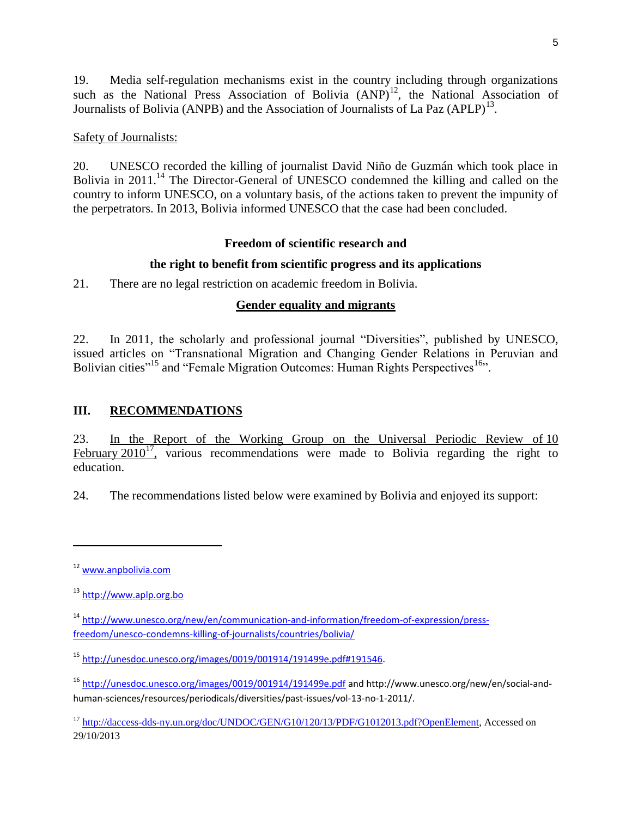19. Media self-regulation mechanisms exist in the country including through organizations such as the National Press Association of Bolivia  $(AND)^{12}$ , the National Association of Journalists of Bolivia (ANPB) and the Association of Journalists of La Paz  $(APLP)^{13}$ .

#### Safety of Journalists:

20. UNESCO recorded the killing of journalist David Niño de Guzmán which took place in Bolivia in 2011.<sup>14</sup> The Director-General of UNESCO condemned the killing and called on the country to inform UNESCO, on a voluntary basis, of the actions taken to prevent the impunity of the perpetrators. In 2013, Bolivia informed UNESCO that the case had been concluded.

#### **Freedom of scientific research and**

## **the right to benefit from scientific progress and its applications**

21. There are no legal restriction on academic freedom in Bolivia.

## **Gender equality and migrants**

22. In 2011, the scholarly and professional journal "Diversities", published by UNESCO, issued articles on "Transnational Migration and Changing Gender Relations in Peruvian and Bolivian cities"<sup>15</sup> and "Female Migration Outcomes: Human Rights Perspectives<sup>16</sup>".

## **III. RECOMMENDATIONS**

23. In the Report of the Working Group on the Universal Periodic Review of 10 February  $2010^{17}$ , various recommendations were made to Bolivia regarding the right to education.

24. The recommendations listed below were examined by Bolivia and enjoyed its support:

l

<sup>12</sup> [www.anpbolivia.com](http://www.anpbolivia.com/)

<sup>13</sup> [http://www.aplp.org.bo](http://www.aplp.org.bo/)

<sup>&</sup>lt;sup>14</sup> [http://www.unesco.org/new/en/communication-and-information/freedom-of-expression/press](http://www.unesco.org/new/en/communication-and-information/freedom-of-expression/press-freedom/unesco-condemns-killing-of-journalists/countries/bolivia/)[freedom/unesco-condemns-killing-of-journalists/countries/bolivia/](http://www.unesco.org/new/en/communication-and-information/freedom-of-expression/press-freedom/unesco-condemns-killing-of-journalists/countries/bolivia/)

<sup>15</sup> [http://unesdoc.unesco.org/images/0019/001914/191499e.pdf#191546.](http://unesdoc.unesco.org/images/0019/001914/191499e.pdf#191546)

<sup>16</sup> <http://unesdoc.unesco.org/images/0019/001914/191499e.pdf> and http://www.unesco.org/new/en/social-andhuman-sciences/resources/periodicals/diversities/past-issues/vol-13-no-1-2011/.

<sup>&</sup>lt;sup>17</sup> [http://daccess-dds-ny.un.org/doc/UNDOC/GEN/G10/120/13/PDF/G1012013.pdf?OpenElement,](http://daccess-dds-ny.un.org/doc/UNDOC/GEN/G10/120/13/PDF/G1012013.pdf?OpenElement) Accessed on 29/10/2013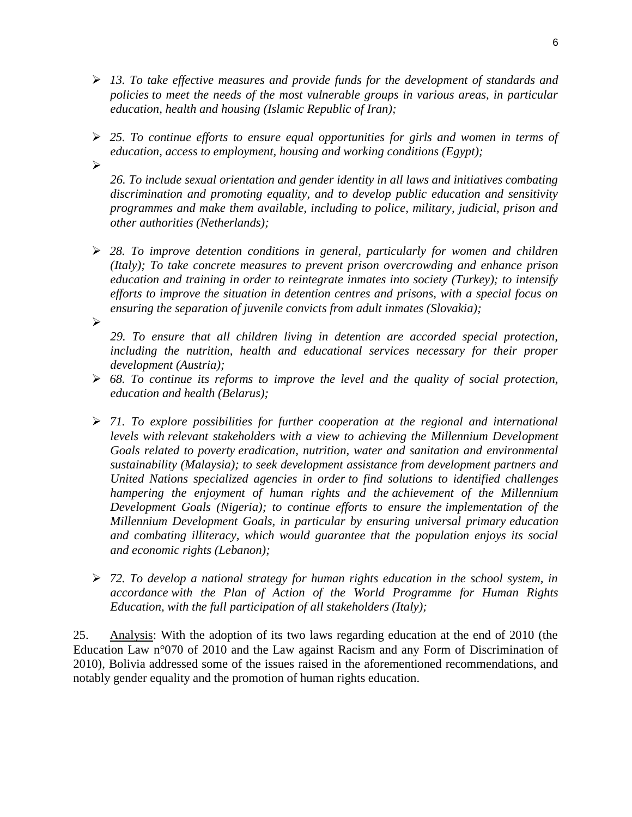- *13. To take effective measures and provide funds for the development of standards and policies to meet the needs of the most vulnerable groups in various areas, in particular education, health and housing (Islamic Republic of Iran);*
- *25. To continue efforts to ensure equal opportunities for girls and women in terms of education, access to employment, housing and working conditions (Egypt);*  $\blacktriangleright$ 
	- *26. To include sexual orientation and gender identity in all laws and initiatives combating discrimination and promoting equality, and to develop public education and sensitivity programmes and make them available, including to police, military, judicial, prison and other authorities (Netherlands);*
- *28. To improve detention conditions in general, particularly for women and children (Italy); To take concrete measures to prevent prison overcrowding and enhance prison education and training in order to reintegrate inmates into society (Turkey); to intensify efforts to improve the situation in detention centres and prisons, with a special focus on ensuring the separation of juvenile convicts from adult inmates (Slovakia);*

 $\blacktriangleright$ 

*29. To ensure that all children living in detention are accorded special protection, including the nutrition, health and educational services necessary for their proper development (Austria);*

- *68. To continue its reforms to improve the level and the quality of social protection, education and health (Belarus);*
- *71. To explore possibilities for further cooperation at the regional and international levels with relevant stakeholders with a view to achieving the Millennium Development Goals related to poverty eradication, nutrition, water and sanitation and environmental sustainability (Malaysia); to seek development assistance from development partners and United Nations specialized agencies in order to find solutions to identified challenges hampering the enjoyment of human rights and the achievement of the Millennium Development Goals (Nigeria); to continue efforts to ensure the implementation of the Millennium Development Goals, in particular by ensuring universal primary education and combating illiteracy, which would guarantee that the population enjoys its social and economic rights (Lebanon);*
- *72. To develop a national strategy for human rights education in the school system, in accordance with the Plan of Action of the World Programme for Human Rights Education, with the full participation of all stakeholders (Italy);*

25. Analysis: With the adoption of its two laws regarding education at the end of 2010 (the Education Law n°070 of 2010 and the Law against Racism and any Form of Discrimination of 2010), Bolivia addressed some of the issues raised in the aforementioned recommendations, and notably gender equality and the promotion of human rights education.